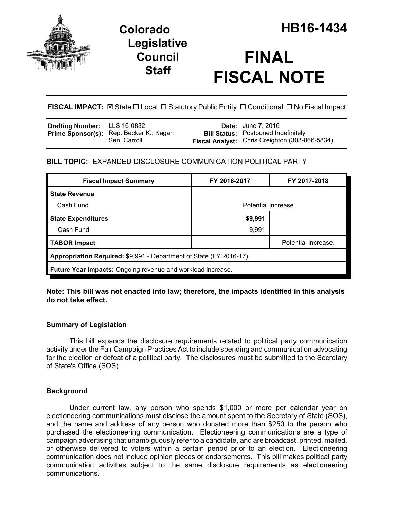

## **Legislative Council Staff**

# **FINAL FISCAL NOTE**

**FISCAL IMPACT:** ⊠ State □ Local □ Statutory Public Entity □ Conditional □ No Fiscal Impact

| <b>Drafting Number:</b> LLS 16-0832 |                                                                | <b>Date:</b> June 7, 2016                                                                           |
|-------------------------------------|----------------------------------------------------------------|-----------------------------------------------------------------------------------------------------|
|                                     | <b>Prime Sponsor(s):</b> Rep. Becker K.; Kagan<br>Sen. Carroll | <b>Bill Status:</b> Postponed Indefinitely<br><b>Fiscal Analyst:</b> Chris Creighton (303-866-5834) |
|                                     |                                                                |                                                                                                     |

## **BILL TOPIC:** EXPANDED DISCLOSURE COMMUNICATION POLITICAL PARTY

| <b>Fiscal Impact Summary</b>                                        | FY 2016-2017        | FY 2017-2018        |  |  |  |
|---------------------------------------------------------------------|---------------------|---------------------|--|--|--|
| <b>State Revenue</b>                                                |                     |                     |  |  |  |
| Cash Fund                                                           | Potential increase. |                     |  |  |  |
| <b>State Expenditures</b>                                           | \$9,991             |                     |  |  |  |
| Cash Fund                                                           | 9,991               |                     |  |  |  |
| <b>TABOR Impact</b>                                                 |                     | Potential increase. |  |  |  |
| Appropriation Required: \$9,991 - Department of State (FY 2016-17). |                     |                     |  |  |  |
| <b>Future Year Impacts:</b> Ongoing revenue and workload increase.  |                     |                     |  |  |  |

**Note: This bill was not enacted into law; therefore, the impacts identified in this analysis do not take effect.** 

## **Summary of Legislation**

This bill expands the disclosure requirements related to political party communication activity under the Fair Campaign Practices Act to include spending and communication advocating for the election or defeat of a political party. The disclosures must be submitted to the Secretary of State's Office (SOS).

## **Background**

Under current law, any person who spends \$1,000 or more per calendar year on electioneering communications must disclose the amount spent to the Secretary of State (SOS), and the name and address of any person who donated more than \$250 to the person who purchased the electioneering communication. Electioneering communications are a type of campaign advertising that unambiguously refer to a candidate, and are broadcast, printed, mailed, or otherwise delivered to voters within a certain period prior to an election. Electioneering communication does not include opinion pieces or endorsements. This bill makes political party communication activities subject to the same disclosure requirements as electioneering communications.